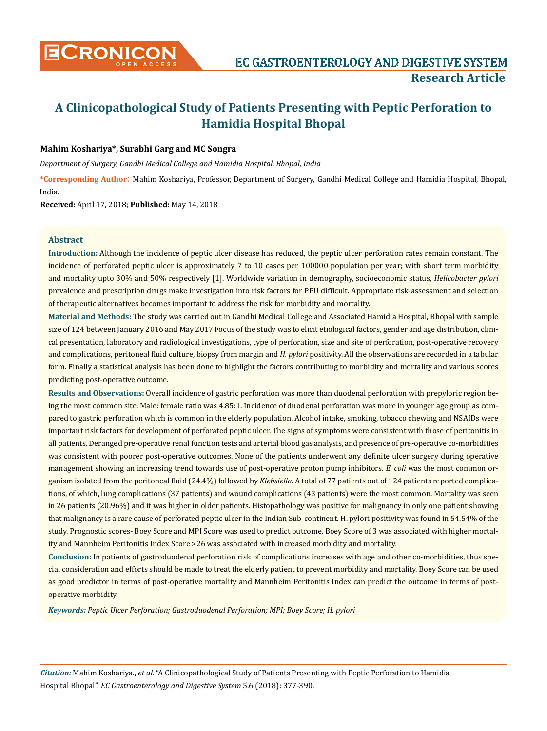

# **Mahim Koshariya\*, Surabhi Garg and MC Songra**

*Department of Surgery, Gandhi Medical College and Hamidia Hospital, Bhopal, India*

**\*Corresponding Author**: Mahim Koshariya, Professor, Department of Surgery, Gandhi Medical College and Hamidia Hospital, Bhopal, India.

**Received:** April 17, 2018; **Published:** May 14, 2018

# **Abstract**

**Introduction:** Although the incidence of peptic ulcer disease has reduced, the peptic ulcer perforation rates remain constant. The incidence of perforated peptic ulcer is approximately 7 to 10 cases per 100000 population per year; with short term morbidity and mortality upto 30% and 50% respectively [1]. Worldwide variation in demography, socioeconomic status, *Helicobacter pylori*  prevalence and prescription drugs make investigation into risk factors for PPU difficult. Appropriate risk-assessment and selection of therapeutic alternatives becomes important to address the risk for morbidity and mortality.

**Material and Methods:** The study was carried out in Gandhi Medical College and Associated Hamidia Hospital, Bhopal with sample size of 124 between January 2016 and May 2017 Focus of the study was to elicit etiological factors, gender and age distribution, clinical presentation, laboratory and radiological investigations, type of perforation, size and site of perforation, post-operative recovery and complications, peritoneal fluid culture, biopsy from margin and *H. pylori* positivity. All the observations are recorded in a tabular form. Finally a statistical analysis has been done to highlight the factors contributing to morbidity and mortality and various scores predicting post-operative outcome.

**Results and Observations:** Overall incidence of gastric perforation was more than duodenal perforation with prepyloric region being the most common site. Male: female ratio was 4.85:1. Incidence of duodenal perforation was more in younger age group as compared to gastric perforation which is common in the elderly population. Alcohol intake, smoking, tobacco chewing and NSAIDs were important risk factors for development of perforated peptic ulcer. The signs of symptoms were consistent with those of peritonitis in all patients. Deranged pre-operative renal function tests and arterial blood gas analysis, and presence of pre-operative co-morbidities was consistent with poorer post-operative outcomes. None of the patients underwent any definite ulcer surgery during operative management showing an increasing trend towards use of post-operative proton pump inhibitors. *E. coli* was the most common organism isolated from the peritoneal fluid (24.4%) followed by *Klebsiella*. A total of 77 patients out of 124 patients reported complications, of which, lung complications (37 patients) and wound complications (43 patients) were the most common. Mortality was seen in 26 patients (20.96%) and it was higher in older patients. Histopathology was positive for malignancy in only one patient showing that malignancy is a rare cause of perforated peptic ulcer in the Indian Sub-continent. H. pylori positivity was found in 54.54% of the study. Prognostic scores- Boey Score and MPI Score was used to predict outcome. Boey Score of 3 was associated with higher mortality and Mannheim Peritonitis Index Score >26 was associated with increased morbidity and mortality.

**Conclusion:** In patients of gastroduodenal perforation risk of complications increases with age and other co-morbidities, thus special consideration and efforts should be made to treat the elderly patient to prevent morbidity and mortality. Boey Score can be used as good predictor in terms of post-operative mortality and Mannheim Peritonitis Index can predict the outcome in terms of postoperative morbidity.

*Keywords: Peptic Ulcer Perforation; Gastroduodenal Perforation; MPI; Boey Score; H. pylori*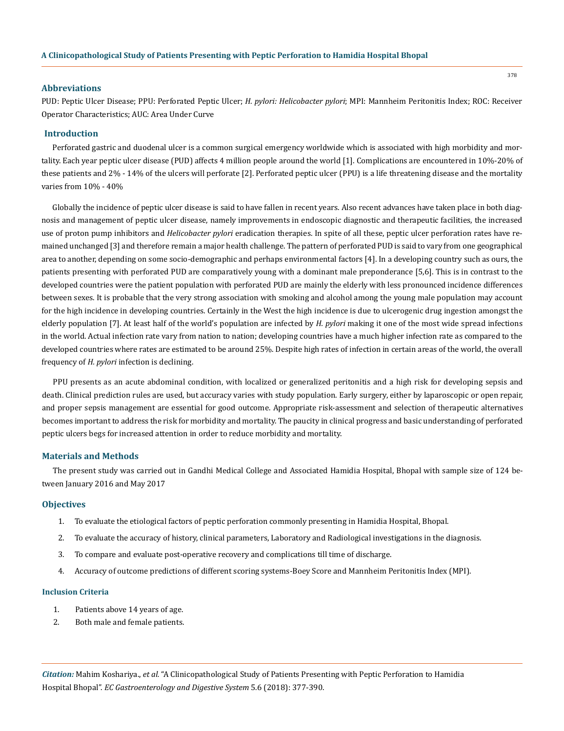#### **Abbreviations**

PUD: Peptic Ulcer Disease; PPU: Perforated Peptic Ulcer; *H. pylori: Helicobacter pylori*; MPI: Mannheim Peritonitis Index; ROC: Receiver Operator Characteristics; AUC: Area Under Curve

## **Introduction**

Perforated gastric and duodenal ulcer is a common surgical emergency worldwide which is associated with high morbidity and mortality. Each year peptic ulcer disease (PUD) affects 4 million people around the world [1]. Complications are encountered in 10%-20% of these patients and 2% - 14% of the ulcers will perforate [2]. Perforated peptic ulcer (PPU) is a life threatening disease and the mortality varies from 10% - 40%

Globally the incidence of peptic ulcer disease is said to have fallen in recent years. Also recent advances have taken place in both diagnosis and management of peptic ulcer disease, namely improvements in endoscopic diagnostic and therapeutic facilities, the increased use of proton pump inhibitors and *Helicobacter pylori* eradication therapies. In spite of all these, peptic ulcer perforation rates have remained unchanged [3] and therefore remain a major health challenge. The pattern of perforated PUD is said to vary from one geographical area to another, depending on some socio-demographic and perhaps environmental factors [4]. In a developing country such as ours, the patients presenting with perforated PUD are comparatively young with a dominant male preponderance [5,6]. This is in contrast to the developed countries were the patient population with perforated PUD are mainly the elderly with less pronounced incidence differences between sexes. It is probable that the very strong association with smoking and alcohol among the young male population may account for the high incidence in developing countries. Certainly in the West the high incidence is due to ulcerogenic drug ingestion amongst the elderly population [7]. At least half of the world's population are infected by *H. pylori* making it one of the most wide spread infections in the world. Actual infection rate vary from nation to nation; developing countries have a much higher infection rate as compared to the developed countries where rates are estimated to be around 25%. Despite high rates of infection in certain areas of the world, the overall frequency of *H. pylori* infection is declining.

PPU presents as an acute abdominal condition, with localized or generalized peritonitis and a high risk for developing sepsis and death. Clinical prediction rules are used, but accuracy varies with study population. Early surgery, either by laparoscopic or open repair, and proper sepsis management are essential for good outcome. Appropriate risk-assessment and selection of therapeutic alternatives becomes important to address the risk for morbidity and mortality. The paucity in clinical progress and basic understanding of perforated peptic ulcers begs for increased attention in order to reduce morbidity and mortality.

#### **Materials and Methods**

The present study was carried out in Gandhi Medical College and Associated Hamidia Hospital, Bhopal with sample size of 124 between January 2016 and May 2017

#### **Objectives**

- 1. To evaluate the etiological factors of peptic perforation commonly presenting in Hamidia Hospital, Bhopal.
- 2. To evaluate the accuracy of history, clinical parameters, Laboratory and Radiological investigations in the diagnosis.
- 3. To compare and evaluate post-operative recovery and complications till time of discharge.
- 4. Accuracy of outcome predictions of different scoring systems-Boey Score and Mannheim Peritonitis Index (MPI).

#### **Inclusion Criteria**

- 1. Patients above 14 years of age.
- 2. Both male and female patients.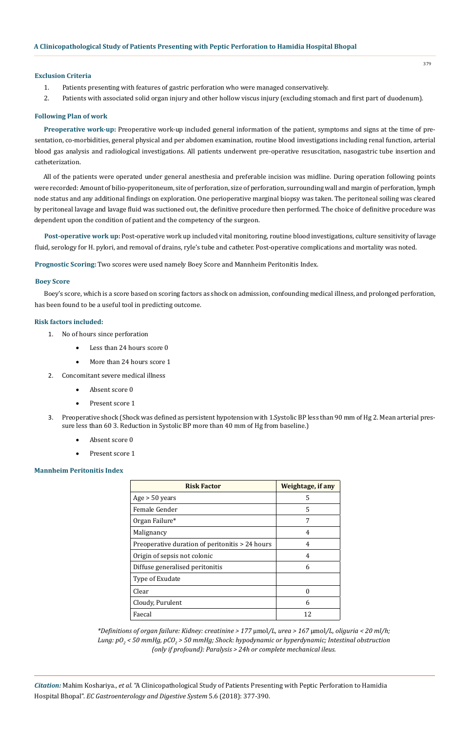# **Exclusion Criteria**

- 1. Patients presenting with features of gastric perforation who were managed conservatively.
- 2. Patients with associated solid organ injury and other hollow viscus injury (excluding stomach and first part of duodenum).

#### **Following Plan of work**

**Preoperative work-up:** Preoperative work-up included general information of the patient, symptoms and signs at the time of presentation, co-morbidities, general physical and per abdomen examination, routine blood investigations including renal function, arterial blood gas analysis and radiological investigations. All patients underwent pre-operative resuscitation, nasogastric tube insertion and catheterization.

All of the patients were operated under general anesthesia and preferable incision was midline. During operation following points were recorded: Amount of bilio-pyoperitoneum, site of perforation, size of perforation, surrounding wall and margin of perforation, lymph node status and any additional findings on exploration. One perioperative marginal biopsy was taken. The peritoneal soiling was cleared by peritoneal lavage and lavage fluid was suctioned out, the definitive procedure then performed. The choice of definitive procedure was dependent upon the condition of patient and the competency of the surgeon.

**Post-operative work up:** Post-operative work up included vital monitoring, routine blood investigations, culture sensitivity of lavage fluid, serology for H. pylori, and removal of drains, ryle's tube and catheter. Post-operative complications and mortality was noted.

**Prognostic Scoring:** Two scores were used namely Boey Score and Mannheim Peritonitis Index.

## **Boey Score**

Boey's score, which is a score based on scoring factors as shock on admission, confounding medical illness, and prolonged perforation, has been found to be a useful tool in predicting outcome.

# **Risk factors included:**

- 1. No of hours since perforation
	- Less than 24 hours score 0
	- More than 24 hours score 1
- 2. Concomitant severe medical illness
	- Absent score 0
	- Present score 1
- 3. Preoperative shock (Shock was defined as persistent hypotension with 1.Systolic BP less than 90 mm of Hg 2. Mean arterial pressure less than 60 3. Reduction in Systolic BP more than 40 mm of Hg from baseline.)
	- Absent score 0
	- Present score 1

## **Mannheim Peritonitis Index**

| <b>Risk Factor</b>                              | Weightage, if any |
|-------------------------------------------------|-------------------|
| Age > 50 years                                  | 5                 |
| Female Gender                                   | 5                 |
| Organ Failure*                                  | 7                 |
| Malignancy                                      | 4                 |
| Preoperative duration of peritonitis > 24 hours | 4                 |
| Origin of sepsis not colonic                    | 4                 |
| Diffuse generalised peritonitis                 | 6                 |
| Type of Exudate                                 |                   |
| Clear                                           |                   |
| Cloudy, Purulent                                | 6                 |
| Faecal                                          | 12                |

*\*Definitions of organ failure: Kidney: creatinine > 177* μmol*/L, urea > 167* μmol*/L, oliguria < 20 ml/h; Lung: pO2 < 50 mmHg, pCO2 > 50 mmHg; Shock: hypodynamic or hyperdynamic; Intestinal obstruction (only if profound): Paralysis > 24h or complete mechanical ileus.*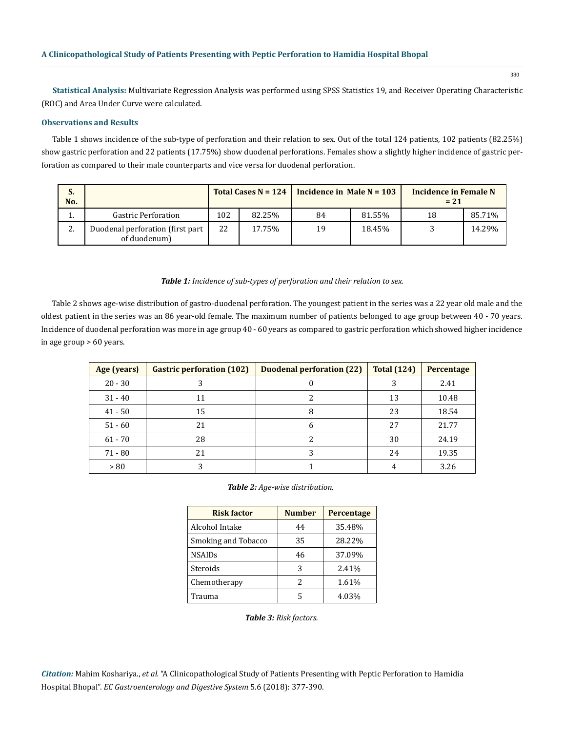**Statistical Analysis:** Multivariate Regression Analysis was performed using SPSS Statistics 19, and Receiver Operating Characteristic (ROC) and Area Under Curve were calculated.

#### **Observations and Results**

Table 1 shows incidence of the sub-type of perforation and their relation to sex. Out of the total 124 patients, 102 patients (82.25%) show gastric perforation and 22 patients (17.75%) show duodenal perforations. Females show a slightly higher incidence of gastric perforation as compared to their male counterparts and vice versa for duodenal perforation.

| S.<br>No. |                                                  | Total Cases N = $124$   Incidence in Male N = $103$ |        |    | Incidence in Female N<br>$= 21$ |    |        |
|-----------|--------------------------------------------------|-----------------------------------------------------|--------|----|---------------------------------|----|--------|
| ı.        | <b>Gastric Perforation</b>                       | 102                                                 | 82.25% | 84 | 81.55%                          | 18 | 85.71% |
| <u>.</u>  | Duodenal perforation (first part<br>of duodenum) | 22                                                  | 17.75% | 19 | 18.45%                          |    | 14.29% |

# *Table 1: Incidence of sub-types of perforation and their relation to sex.*

Table 2 shows age-wise distribution of gastro-duodenal perforation. The youngest patient in the series was a 22 year old male and the oldest patient in the series was an 86 year-old female. The maximum number of patients belonged to age group between 40 - 70 years. Incidence of duodenal perforation was more in age group 40 - 60 years as compared to gastric perforation which showed higher incidence in age group > 60 years.

| Age (years) | <b>Gastric perforation (102)</b> | <b>Duodenal perforation (22)</b> | <b>Total (124)</b> | <b>Percentage</b> |
|-------------|----------------------------------|----------------------------------|--------------------|-------------------|
| $20 - 30$   |                                  |                                  |                    | 2.41              |
| $31 - 40$   | 11                               |                                  | 13                 | 10.48             |
| $41 - 50$   | 15                               | 8                                | 23                 | 18.54             |
| $51 - 60$   | 21                               | h                                | 27                 | 21.77             |
| $61 - 70$   | 28                               | າ                                | 30                 | 24.19             |
| 71 - 80     | 21                               |                                  | 24                 | 19.35             |
| > 80        |                                  |                                  |                    | 3.26              |

*Table 2: Age-wise distribution.*

| <b>Risk factor</b>  | <b>Number</b> | Percentage |
|---------------------|---------------|------------|
| Alcohol Intake      | 44            | 35.48%     |
| Smoking and Tobacco | 35            | 28.22%     |
| <b>NSAIDs</b>       | 46            | 37.09%     |
| Steroids            | 3             | 2.41%      |
| Chemotherapy        | 2             | 1.61%      |
| Trauma              | 5             | 4.03%      |

*Table 3: Risk factors.*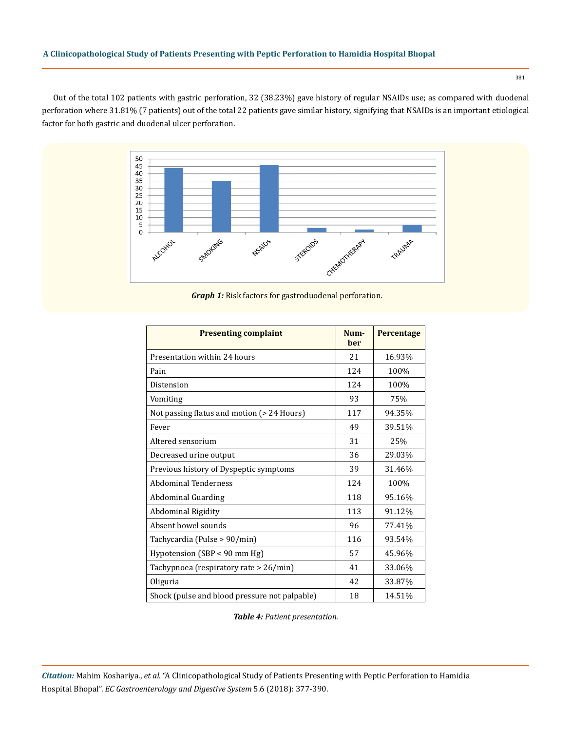381

Out of the total 102 patients with gastric perforation, 32 (38.23%) gave history of regular NSAIDs use; as compared with duodenal perforation where 31.81% (7 patients) out of the total 22 patients gave similar history, signifying that NSAIDs is an important etiological factor for both gastric and duodenal ulcer perforation.



*Graph 1:* Risk factors for gastroduodenal perforation.

| <b>Presenting complaint</b>                   | Num-<br>ber | Percentage |
|-----------------------------------------------|-------------|------------|
| Presentation within 24 hours                  | 21          | 16.93%     |
| Pain                                          | 124         | 100%       |
| Distension                                    | 124         | 100%       |
| Vomiting                                      | 93          | 75%        |
| Not passing flatus and motion (> 24 Hours)    | 117         | 94.35%     |
| Fever                                         | 49          | 39.51%     |
| Altered sensorium                             | 31          | 25%        |
| Decreased urine output                        | 36          | 29.03%     |
| Previous history of Dyspeptic symptoms        | 39          | 31.46%     |
| <b>Abdominal Tenderness</b>                   | 124         | 100%       |
| <b>Abdominal Guarding</b>                     | 118         | 95.16%     |
| Abdominal Rigidity                            | 113         | 91.12%     |
| Absent bowel sounds                           | 96          | 77.41%     |
| Tachycardia (Pulse > 90/min)                  | 116         | 93.54%     |
| Hypotension (SBP < 90 mm Hg)                  | 57          | 45.96%     |
| Tachypnoea (respiratory rate > 26/min)        | 41          | 33.06%     |
| Oliguria                                      | 42          | 33.87%     |
| Shock (pulse and blood pressure not palpable) | 18          | 14.51%     |

*Table 4: Patient presentation.*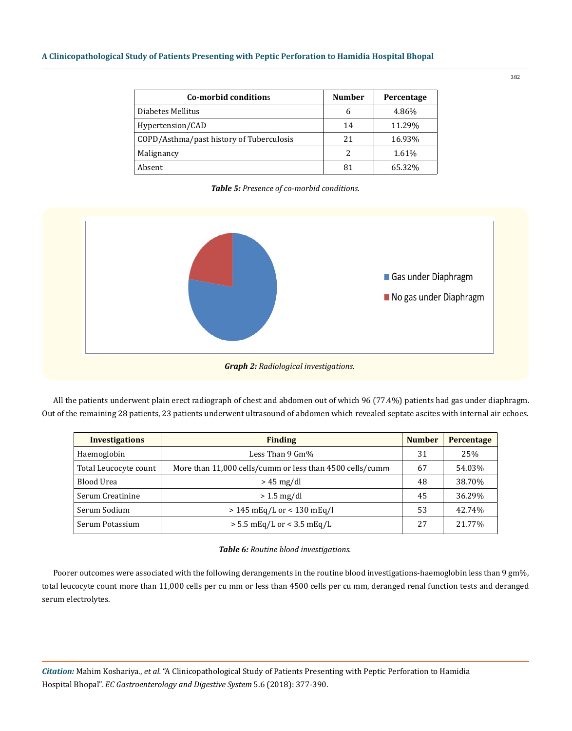| <b>Co-morbid conditions</b>              | <b>Number</b> | Percentage |
|------------------------------------------|---------------|------------|
| Diabetes Mellitus                        | 6             | 4.86%      |
| Hypertension/CAD                         | 14            | 11.29%     |
| COPD/Asthma/past history of Tuberculosis | 21            | 16.93%     |
| Malignancy                               | 2             | 1.61%      |
| Absent                                   | 81            | 65.32%     |

*Table 5: Presence of co-morbid conditions.*



*Graph 2: Radiological investigations.*

All the patients underwent plain erect radiograph of chest and abdomen out of which 96 (77.4%) patients had gas under diaphragm. Out of the remaining 28 patients, 23 patients underwent ultrasound of abdomen which revealed septate ascites with internal air echoes.

| <b>Investigations</b> | <b>Finding</b>                                           | <b>Number</b> | Percentage |
|-----------------------|----------------------------------------------------------|---------------|------------|
| Haemoglobin           | Less Than $9 \text{ Gm}$ %                               | 31            | 25%        |
| Total Leucocyte count | More than 11,000 cells/cumm or less than 4500 cells/cumm |               | 54.03%     |
| Blood Urea            | $> 45$ mg/dl                                             | 48            | 38.70%     |
| Serum Creatinine      | $> 1.5$ mg/dl                                            | 45            | 36.29%     |
| Serum Sodium          | $> 145$ mEq/L or < 130 mEq/l                             | 53            | 42.74%     |
| Serum Potassium       | $> 5.5$ mEq/L or < 3.5 mEq/L                             | 27            | 21.77%     |

# *Table 6: Routine blood investigations.*

Poorer outcomes were associated with the following derangements in the routine blood investigations-haemoglobin less than 9 gm%, total leucocyte count more than 11,000 cells per cu mm or less than 4500 cells per cu mm, deranged renal function tests and deranged serum electrolytes.

*Citation:* Mahim Koshariya., *et al.* "A Clinicopathological Study of Patients Presenting with Peptic Perforation to Hamidia Hospital Bhopal". *EC Gastroenterology and Digestive System* 5.6 (2018): 377-390.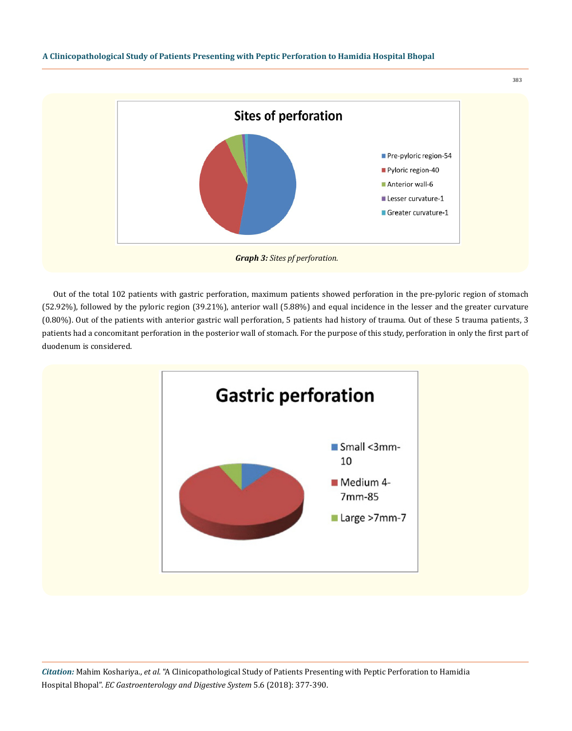



Out of the total 102 patients with gastric perforation, maximum patients showed perforation in the pre-pyloric region of stomach (52.92%), followed by the pyloric region (39.21%), anterior wall (5.88%) and equal incidence in the lesser and the greater curvature (0.80%). Out of the patients with anterior gastric wall perforation, 5 patients had history of trauma. Out of these 5 trauma patients, 3 patients had a concomitant perforation in the posterior wall of stomach. For the purpose of this study, perforation in only the first part of duodenum is considered.

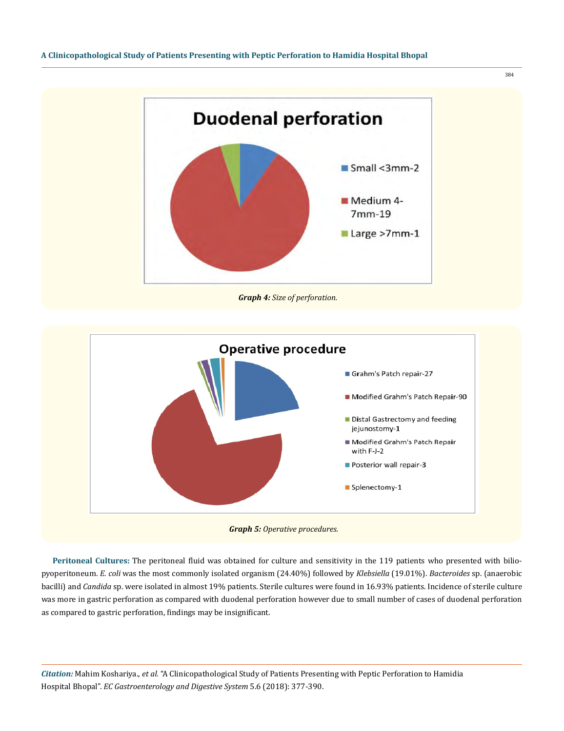384



*Graph 4: Size of perforation.*



*Graph 5: Operative procedures.*

**Peritoneal Cultures:** The peritoneal fluid was obtained for culture and sensitivity in the 119 patients who presented with biliopyoperitoneum. *E. coli* was the most commonly isolated organism (24.40%) followed by *Klebsiella* (19.01%). *Bacteroides* sp. (anaerobic bacilli) and *Candida* sp. were isolated in almost 19% patients. Sterile cultures were found in 16.93% patients. Incidence of sterile culture was more in gastric perforation as compared with duodenal perforation however due to small number of cases of duodenal perforation as compared to gastric perforation, findings may be insignificant.

*Citation:* Mahim Koshariya., *et al.* "A Clinicopathological Study of Patients Presenting with Peptic Perforation to Hamidia Hospital Bhopal". *EC Gastroenterology and Digestive System* 5.6 (2018): 377-390.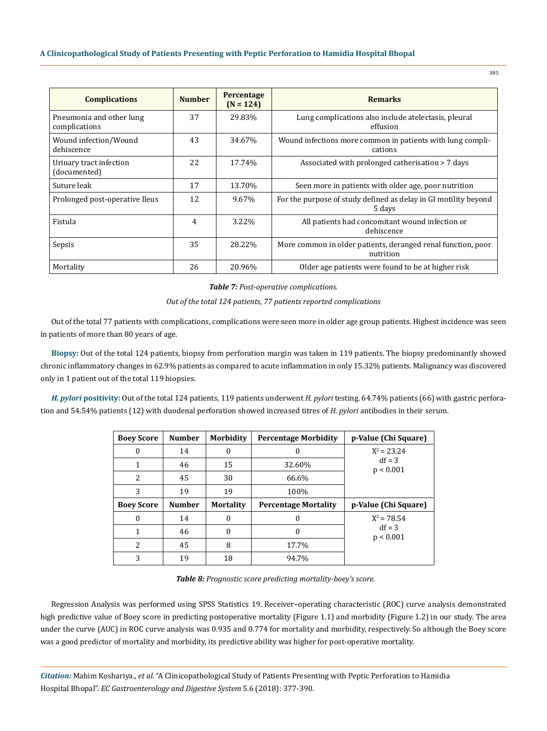| <b>Complications</b>                      | <b>Number</b> | Percentage<br>$(N = 124)$ | <b>Remarks</b>                                                            |
|-------------------------------------------|---------------|---------------------------|---------------------------------------------------------------------------|
| Pneumonia and other lung<br>complications | 37            | 29.83%                    | Lung complications also include atelectasis, pleural<br>effusion          |
| Wound infection/Wound<br>dehiscence       | 43            | 34.67%                    | Wound infections more common in patients with lung compli-<br>cations     |
| Urinary tract infection<br>(documented)   | 22            | 17.74%                    | Associated with prolonged catherisation > 7 days                          |
| Suture leak                               | 17            | 13.70%                    | Seen more in patients with older age, poor nutrition                      |
| Prolonged post-operative Ileus            | 12            | 9.67%                     | For the purpose of study defined as delay in GI motility beyond<br>5 days |
| Fistula                                   | 4             | 3.22%                     | All patients had concomitant wound infection or<br>dehiscence             |
| Sepsis                                    | 35            | 28.22%                    | More common in older patients, deranged renal function, poor<br>nutrition |
| Mortality                                 | 26            | 20.96%                    | Older age patients were found to be at higher risk                        |

#### *Table 7: Post-operative complications.*

*Out of the total 124 patients, 77 patients reported complications*

Out of the total 77 patients with complications, complications were seen more in older age group patients. Highest incidence was seen in patients of more than 80 years of age.

**Biopsy:** Out of the total 124 patients, biopsy from perforation margin was taken in 119 patients. The biopsy predominantly showed chronic inflammatory changes in 62.9% patients as compared to acute inflammation in only 15.32% patients. Malignancy was discovered only in 1 patient out of the total 119 biopsies.

*H. pylori* **positivity:** Out of the total 124 patients, 119 patients underwent *H. pylori* testing. 64.74% patients (66) with gastric perforation and 54.54% patients (12) with duodenal perforation showed increased titres of *H. pylori* antibodies in their serum.

| <b>Boey Score</b> | <b>Number</b> | <b>Morbidity</b> | <b>Percentage Morbidity</b> | p-Value (Chi Square)  |
|-------------------|---------------|------------------|-----------------------------|-----------------------|
| $\theta$          | 14            | $\Omega$         |                             | $X^2 = 23.24$         |
|                   | 46            | 15               | 32.60%                      | $df = 3$<br>p < 0.001 |
| 2                 | 45            | 30               | 66.6%                       |                       |
| 3                 | 19            | 19               | 100%                        |                       |
| <b>Boey Score</b> | <b>Number</b> | <b>Mortality</b> | <b>Percentage Mortality</b> | p-Value (Chi Square)  |
| $\theta$          | 14            | $\theta$         |                             | $X^2 = 78.54$         |
|                   | 46            | $\theta$         | $\theta$                    | $df = 3$<br>p < 0.001 |
| 2                 | 45            | 8                | 17.7%                       |                       |
| 3                 | 19            | 18               | 94.7%                       |                       |

#### *Table 8: Prognostic score predicting mortality-boey's score.*

Regression Analysis was performed using SPSS Statistics 19. Receiver–operating characteristic (ROC) curve analysis demonstrated high predictive value of Boey score in predicting postoperative mortality (Figure 1.1) and morbidity (Figure 1.2) in our study. The area under the curve (AUC) in ROC curve analysis was 0.935 and 0.774 for mortality and morbidity, respectively. So although the Boey score was a good predictor of mortality and morbidity, its predictive ability was higher for post-operative mortality.

*Citation:* Mahim Koshariya., *et al.* "A Clinicopathological Study of Patients Presenting with Peptic Perforation to Hamidia Hospital Bhopal". *EC Gastroenterology and Digestive System* 5.6 (2018): 377-390.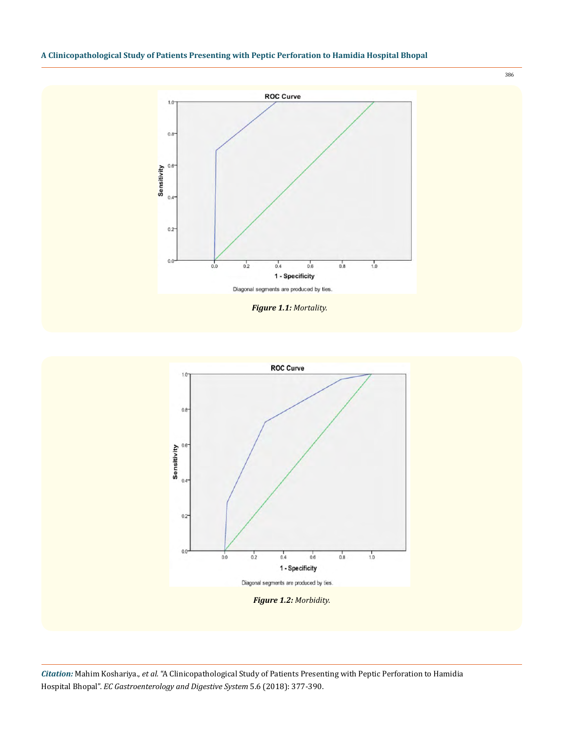



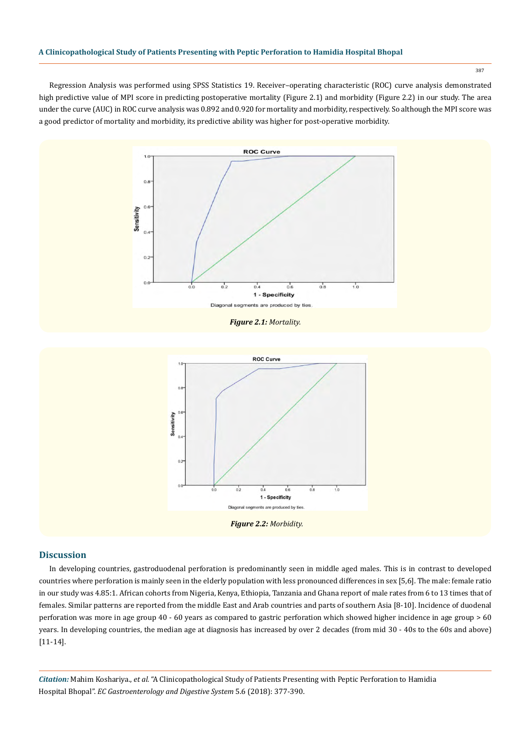Regression Analysis was performed using SPSS Statistics 19. Receiver–operating characteristic (ROC) curve analysis demonstrated high predictive value of MPI score in predicting postoperative mortality (Figure 2.1) and morbidity (Figure 2.2) in our study. The area under the curve (AUC) in ROC curve analysis was 0.892 and 0.920 for mortality and morbidity, respectively. So although the MPI score was a good predictor of mortality and morbidity, its predictive ability was higher for post-operative morbidity.



*Figure 2.1: Mortality.*



*Figure 2.2: Morbidity.*

## **Discussion**

In developing countries, gastroduodenal perforation is predominantly seen in middle aged males. This is in contrast to developed countries where perforation is mainly seen in the elderly population with less pronounced differences in sex [5,6]. The male: female ratio in our study was 4.85:1. African cohorts from Nigeria, Kenya, Ethiopia, Tanzania and Ghana report of male rates from 6 to 13 times that of females. Similar patterns are reported from the middle East and Arab countries and parts of southern Asia [8-10]. Incidence of duodenal perforation was more in age group 40 - 60 years as compared to gastric perforation which showed higher incidence in age group > 60 years. In developing countries, the median age at diagnosis has increased by over 2 decades (from mid 30 - 40s to the 60s and above) [11-14].

*Citation:* Mahim Koshariya., *et al.* "A Clinicopathological Study of Patients Presenting with Peptic Perforation to Hamidia Hospital Bhopal". *EC Gastroenterology and Digestive System* 5.6 (2018): 377-390.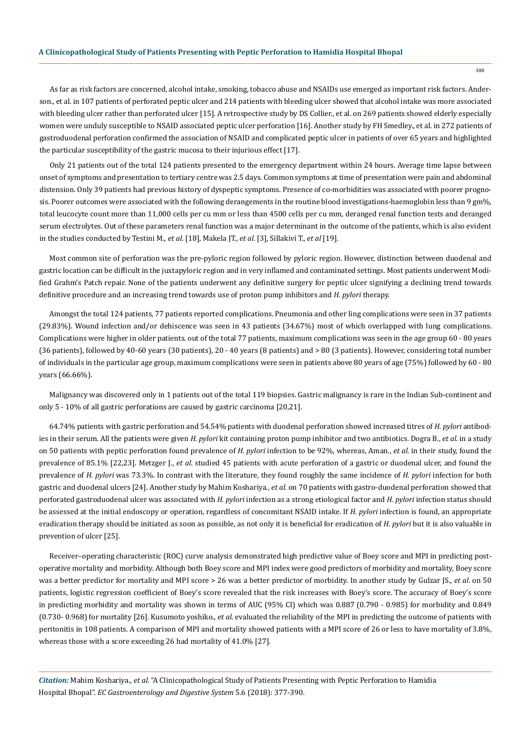As far as risk factors are concerned, alcohol intake, smoking, tobacco abuse and NSAIDs use emerged as important risk factors. Anderson., et al. in 107 patients of perforated peptic ulcer and 214 patients with bleeding ulcer showed that alcohol intake was more associated with bleeding ulcer rather than perforated ulcer [15]. A retrospective study by DS Collier., et al. on 269 patients showed elderly especially women were unduly susceptible to NSAID associated peptic ulcer perforation [16]. Another study by FH Smedley., et al. in 272 patients of gastroduodenal perforation confirmed the association of NSAID and complicated peptic ulcer in patients of over 65 years and highlighted the particular susceptibility of the gastric mucosa to their injurious effect [17].

Only 21 patients out of the total 124 patients presented to the emergency department within 24 hours. Average time lapse between onset of symptoms and presentation to tertiary centre was 2.5 days. Common symptoms at time of presentation were pain and abdominal distension. Only 39 patients had previous history of dyspeptic symptoms. Presence of co-morbidities was associated with poorer prognosis. Poorer outcomes were associated with the following derangements in the routine blood investigations-haemoglobin less than 9 gm%, total leucocyte count more than 11,000 cells per cu mm or less than 4500 cells per cu mm, deranged renal function tests and deranged serum electrolytes. Out of these parameters renal function was a major determinant in the outcome of the patients, which is also evident in the studies conducted by Testini M., *et al*. [18], Makela JT., *et al*. [3], Sillakivi T., *et al* [19].

Most common site of perforation was the pre-pyloric region followed by pyloric region. However, distinction between duodenal and gastric location can be difficult in the juxtapyloric region and in very inflamed and contaminated settings. Most patients underwent Modified Grahm's Patch repair. None of the patients underwent any definitive surgery for peptic ulcer signifying a declining trend towards definitive procedure and an increasing trend towards use of proton pump inhibitors and *H. pylori* therapy.

Amongst the total 124 patients, 77 patients reported complications. Pneumonia and other ling complications were seen in 37 patients (29.83%). Wound infection and/or dehiscence was seen in 43 patients (34.67%) most of which overlapped with lung complications. Complications were higher in older patients. out of the total 77 patients, maximum complications was seen in the age group 60 - 80 years (36 patients), followed by 40-60 years (30 patients), 20 - 40 years (8 patients) and > 80 (3 patients). However, considering total number of individuals in the particular age group, maximum complications were seen in patients above 80 years of age (75%) followed by 60 - 80 years (66.66%).

Malignancy was discovered only in 1 patients out of the total 119 biopsies. Gastric malignancy is rare in the Indian Sub-continent and only 5 - 10% of all gastric perforations are caused by gastric carcinoma [20,21].

64.74% patients with gastric perforation and 54.54% patients with duodenal perforation showed increased titres of *H. pylori* antibodies in their serum. All the patients were given *H. pylori* kit containing proton pump inhibitor and two antibiotics. Dogra B., *et al.* in a study on 50 patients with peptic perforation found prevalence of *H. pylori* infection to be 92%, whereas, Aman., *et al.* in their study, found the prevalence of 85.1% [22,23]. Metzger J., *et al.* studied 45 patients with acute perforation of a gastric or duodenal ulcer, and found the prevalence of *H. pylori* was 73.3%. In contrast with the literature, they found roughly the same incidence of *H. pylori* infection for both gastric and duodenal ulcers [24]. Another study by Mahim Koshariya., *et al.* on 70 patients with gastro-duodenal perforation showed that perforated gastroduodenal ulcer was associated with *H. pylori* infection as a strong etiological factor and *H. pylori* infection status should be assessed at the initial endoscopy or operation, regardless of concomitant NSAID intake. If *H. pylori* infection is found, an appropriate eradication therapy should be initiated as soon as possible, as not only it is beneficial for eradication of *H. pylori* but it is also valuable in prevention of ulcer [25].

Receiver–operating characteristic (ROC) curve analysis demonstrated high predictive value of Boey score and MPI in predicting postoperative mortality and morbidity. Although both Boey score and MPI index were good predictors of morbidity and mortality, Boey score was a better predictor for mortality and MPI score > 26 was a better predictor of morbidity. In another study by Gulzar JS., *et al*. on 50 patients, logistic regression coefficient of Boey's score revealed that the risk increases with Boey's score. The accuracy of Boey's score in predicting morbidity and mortality was shown in terms of AUC (95% CI) which was 0.887 (0.790 - 0.985) for morbidity and 0.849 (0.730- 0.968) for mortality [26]. Kusumoto yoshiko., *et al*. evaluated the reliability of the MPI in predicting the outcome of patients with peritonitis in 108 patients. A comparison of MPI and mortality showed patients with a MPI score of 26 or less to have mortality of 3.8%, whereas those with a score exceeding 26 had mortality of 41.0% [27].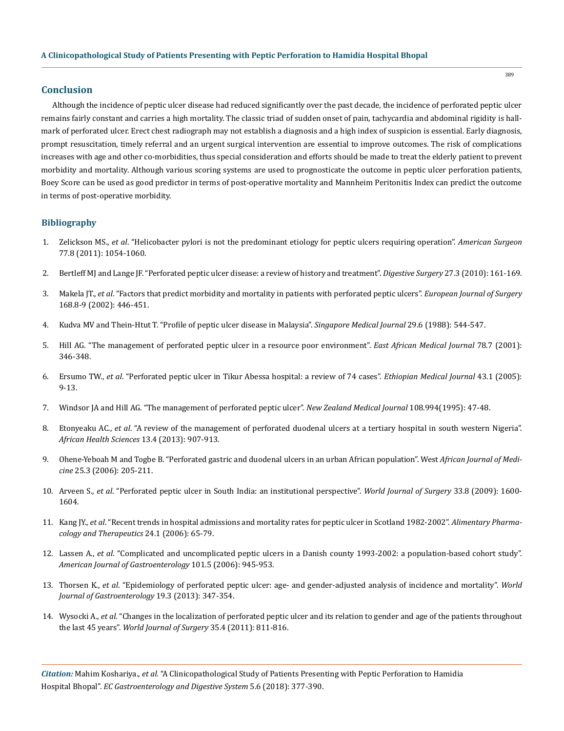# **Conclusion**

Although the incidence of peptic ulcer disease had reduced significantly over the past decade, the incidence of perforated peptic ulcer remains fairly constant and carries a high mortality. The classic triad of sudden onset of pain, tachycardia and abdominal rigidity is hallmark of perforated ulcer. Erect chest radiograph may not establish a diagnosis and a high index of suspicion is essential. Early diagnosis, prompt resuscitation, timely referral and an urgent surgical intervention are essential to improve outcomes. The risk of complications increases with age and other co-morbidities, thus special consideration and efforts should be made to treat the elderly patient to prevent morbidity and mortality. Although various scoring systems are used to prognosticate the outcome in peptic ulcer perforation patients, Boey Score can be used as good predictor in terms of post-operative mortality and Mannheim Peritonitis Index can predict the outcome in terms of post-operative morbidity.

# **Bibliography**

- 1. Zelickson MS., *et al*[. "Helicobacter pylori is not the predominant etiology for peptic ulcers requiring operation".](https://www.ncbi.nlm.nih.gov/pubmed/21944523) *American Surgeon* [77.8 \(2011\): 1054-1060.](https://www.ncbi.nlm.nih.gov/pubmed/21944523)
- 2. [Bertleff MJ and Lange JF. "Perforated peptic ulcer disease: a review of history and treatment".](https://www.ncbi.nlm.nih.gov/pubmed/20571260) *Digestive Surgery* 27.3 (2010): 161-169.
- 3. Makela JT., *et al*[. "Factors that predict morbidity and mortality in patients with perforated peptic ulcers".](https://www.ncbi.nlm.nih.gov/pubmed/12549682) *European Journal of Surgery*  [168.8-9 \(2002\): 446-451.](https://www.ncbi.nlm.nih.gov/pubmed/12549682)
- 4. [Kudva MV and Thein-Htut T. "Profile of peptic ulcer disease in Malaysia".](https://www.ncbi.nlm.nih.gov/pubmed/3252461) *Singapore Medical Journal* 29.6 (1988): 544-547.
- 5. [Hill AG. "The management of perforated peptic ulcer in a resource poor environment".](https://www.ncbi.nlm.nih.gov/pubmed/11957256) *East African Medical Journal* 78.7 (2001): [346-348.](https://www.ncbi.nlm.nih.gov/pubmed/11957256)
- 6. Ersumo TW., *et al*[. "Perforated peptic ulcer in Tikur Abessa hospital: a review of 74 cases".](https://www.ncbi.nlm.nih.gov/pubmed/16370524) *Ethiopian Medical Journal* 43.1 (2005): [9-13.](https://www.ncbi.nlm.nih.gov/pubmed/16370524)
- 7. [Windsor JA and Hill AG. "The management of perforated peptic ulcer".](https://www.ncbi.nlm.nih.gov/pubmed/7885645) *New Zealand Medical Journal* 108.994(1995): 47-48.
- 8. Etonyeaku AC., *et al*[. "A review of the management of perforated duodenal ulcers at a tertiary hospital in south western Nigeria".](https://www.ncbi.nlm.nih.gov/pubmed/24940311)  *[African Health Sciences](https://www.ncbi.nlm.nih.gov/pubmed/24940311)* 13.4 (2013): 907-913.
- 9. [Ohene-Yeboah M and Togbe B. "Perforated gastric and duodenal ulcers in an urban African population". West](https://www.ncbi.nlm.nih.gov/pubmed/17191420) *African Journal of Medicine* [25.3 \(2006\): 205-211.](https://www.ncbi.nlm.nih.gov/pubmed/17191420)
- 10. Arveen S., *et al*[. "Perforated peptic ulcer in South India: an institutional perspective".](https://www.ncbi.nlm.nih.gov/pubmed/19513785) *World Journal of Surgery* 33.8 (2009): 1600- [1604.](https://www.ncbi.nlm.nih.gov/pubmed/19513785)
- 11. Kang JY., *et al*[. "Recent trends in hospital admissions and mortality rates for peptic ulcer in Scotland 1982-2002".](https://www.ncbi.nlm.nih.gov/pubmed/16803604) *Alimentary Pharma[cology and Therapeutics](https://www.ncbi.nlm.nih.gov/pubmed/16803604)* 24.1 (2006): 65-79.
- 12. Lassen A., *et al*[. "Complicated and uncomplicated peptic ulcers in a Danish county 1993-2002: a population-based cohort study".](https://www.ncbi.nlm.nih.gov/pubmed/16573778)  *[American Journal of Gastroenterology](https://www.ncbi.nlm.nih.gov/pubmed/16573778)* 101.5 (2006): 945-953.
- 13. Thorsen K., *et al*[. "Epidemiology of perforated peptic ulcer: age- and gender-adjusted analysis of incidence and mortality".](https://www.ncbi.nlm.nih.gov/pubmed/23372356) *World [Journal of Gastroenterology](https://www.ncbi.nlm.nih.gov/pubmed/23372356)* 19.3 (2013): 347-354.
- 14. Wysocki A., *et al*[. "Changes in the localization of perforated peptic ulcer and its relation to gender and age of the patients throughout](https://www.ncbi.nlm.nih.gov/pubmed/21267567)  the last 45 years". *[World Journal of Surgery](https://www.ncbi.nlm.nih.gov/pubmed/21267567)* 35.4 (2011): 811-816.

*Citation:* Mahim Koshariya., *et al.* "A Clinicopathological Study of Patients Presenting with Peptic Perforation to Hamidia Hospital Bhopal". *EC Gastroenterology and Digestive System* 5.6 (2018): 377-390.